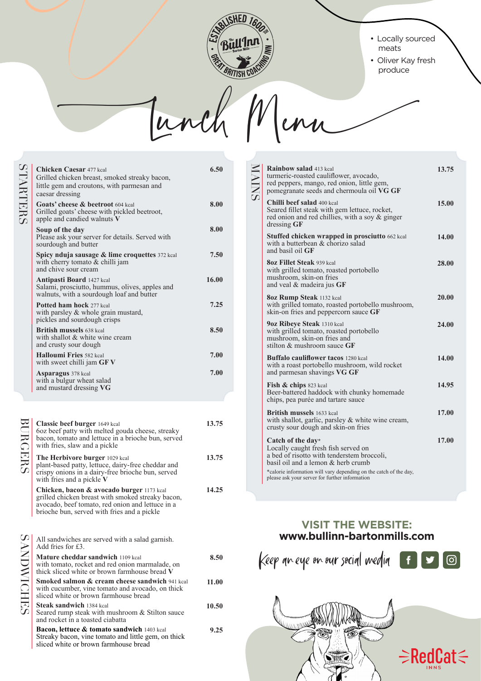

## • Locally sourced meats

• Oliver Kay fresh produce

Lunch Menu Lunch Menu

| <b>STARTERS</b> | <b>Chicken Caesar 477 kcal</b><br>Grilled chicken breast, smoked streaky bacon,<br>little gem and croutons, with parmesan and<br>caesar dressing | 6.50  |
|-----------------|--------------------------------------------------------------------------------------------------------------------------------------------------|-------|
|                 | <b>Goats' cheese &amp; beetroot</b> 604 kcal<br>Grilled goats' cheese with pickled beetroot,<br>apple and candied walnuts V                      | 8.00  |
|                 | Soup of the day<br>Please ask your server for details. Served with<br>sourdough and butter                                                       | 8.00  |
|                 | Spicy nduja sausage $\&$ lime croquettes 372 kcal<br>with cherry tomato $&$ chilli jam<br>and chive sour cream                                   | 7.50  |
|                 | <b>Antipasti Board</b> 1427 kcal<br>Salami, prosciutto, hummus, olives, apples and<br>walnuts, with a sourdough loaf and butter                  | 16.00 |
|                 | <b>Potted ham hock 277 kcal</b><br>with parsley $\&$ whole grain mustard,<br>pickles and sourdough crisps                                        | 7.25  |
|                 | <b>British mussels 638 kcal</b><br>with shallot & white wine cream<br>and crusty sour dough                                                      | 8.50  |
|                 | <b>Halloumi Fries 582 kcal</b><br>with sweet chilli jam $GFV$                                                                                    | 7.00  |
|                 | <b>Asparagus</b> 378 kcal<br>with a bulgur wheat salad<br>and mustard dressing VG                                                                | 7.00  |

| BURGERS            | <b>Classic beef burger</b> 1649 kcal<br>6oz beef patty with melted gouda cheese, streaky<br>bacon, tomato and lettuce in a brioche bun, served<br>with fries, slaw and a pickle                   | 13.75 |
|--------------------|---------------------------------------------------------------------------------------------------------------------------------------------------------------------------------------------------|-------|
|                    | The Herbivore burger 1029 kcal<br>plant-based patty, lettuce, dairy-free cheddar and<br>crispy onions in a dairy-free brioche bun, served<br>with fries and a pickle $V$                          | 13.75 |
|                    | Chicken, bacon & avocado burger 1173 kcal<br>grilled chicken breast with smoked streaky bacon,<br>avocado, beef tomato, red onion and lettuce in a<br>brioche bun, served with fries and a pickle | 14.25 |
| <b>SANDIWICHES</b> | All sandwiches are served with a salad garnish.<br>Add fries for $£3$ .                                                                                                                           |       |
|                    | <b>Mature cheddar sandwich 1109 kcal</b><br>with tomato, rocket and red onion marmalade, on<br>thick sliced white or brown farmhouse bread V                                                      | 8.50  |
|                    | <b>Smoked salmon &amp; cream cheese sandwich 941 kcal</b><br>with cucumber, vine tomato and avocado, on thick<br>sliced white or brown farmhouse bread                                            | 11.00 |
|                    | <b>Steak sandwich</b> 1384 kcal<br>Seared rump steak with mushroom & Stilton sauce<br>and rocket in a toasted ciabatta                                                                            | 10.50 |
|                    | <b>Bacon, lettuce &amp; tomato sandwich</b> 1403 kcal<br>Streaky bacon, vine tomato and little gem, on thick<br>sliced white or brown farmhouse bread                                             | 9.25  |

| <b>MAINS</b> | Rainbow salad 413 kcal<br>turmeric-roasted cauliflower, avocado,<br>red peppers, mango, red onion, little gem,<br>pomegranate seeds and chermoula oil VG GF | 13.75 |
|--------------|-------------------------------------------------------------------------------------------------------------------------------------------------------------|-------|
|              | Chilli beef salad 400 kcal<br>Seared fillet steak with gem lettuce, rocket,<br>red onion and red chillies, with a soy & ginger<br>dressing GF               | 15.00 |
|              | Stuffed chicken wrapped in prosciutto 662 kcal<br>with a butterbean & chorizo salad<br>and basil oil GF                                                     | 14.00 |
|              | <b>80z Fillet Steak 939 kcal</b><br>with grilled tomato, roasted portobello<br>mushroom, skin-on fries<br>and veal $&$ madeira jus GF                       | 28.00 |
|              | <b>80z Rump Steak 1132 kcal</b><br>with grilled tomato, roasted portobello mushroom,<br>skin-on fries and peppercorn sauce GF                               | 20.00 |
|              | <b>90z Ribeye Steak 1310 kcal</b><br>with grilled tomato, roasted portobello<br>mushroom, skin-on fries and<br>stilton $&$ mushroom sauce $GF$              | 24.00 |
|              | <b>Buffalo cauliflower tacos 1280 kcal</b><br>with a roast portobello mushroom, wild rocket<br>and parmesan shavings VG GF                                  | 14.00 |
|              | <b>Fish &amp; chips</b> 823 kcal<br>Beer-battered haddock with chunky homemade<br>chips, pea purée and tartare sauce                                        | 14.95 |
|              | <b>British mussels</b> 1633 kcal<br>with shallot, garlic, parsley & white wine cream,<br>crusty sour dough and skin-on fries                                | 17.00 |
|              | Catch of the day*<br>Locally caught fresh fish served on<br>a bed of risotto with tenderstem broccoli,<br>basil oil and a lemon $&$ herb crumb              | 17.00 |
|              | *calorie information will vary depending on the catch of the day,<br>please ask your server for further information                                         |       |

## **VISIT THE WEBSITE: www.bullinn-bartonmills.com**